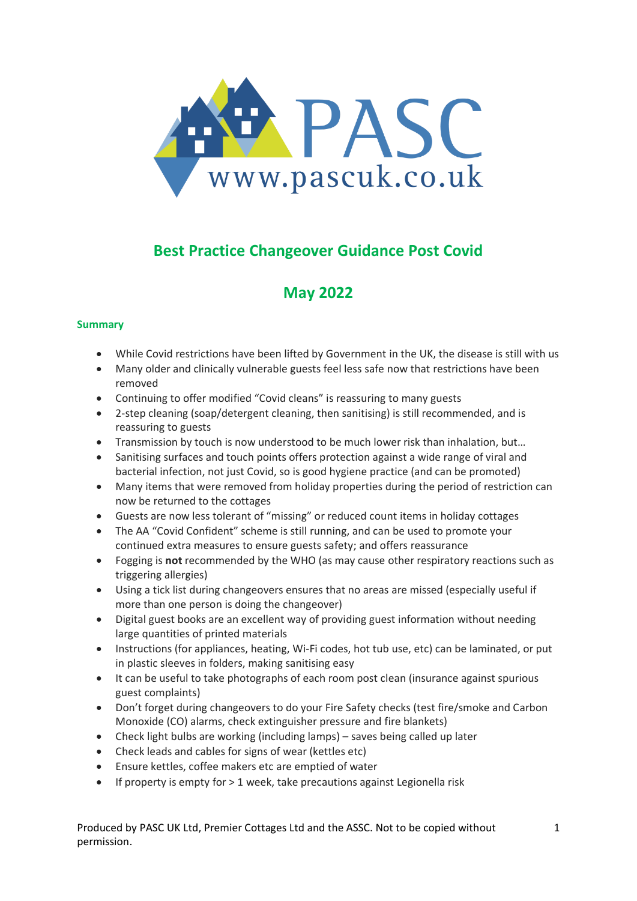

# **Best Practice Changeover Guidance Post Covid**

## **May 2022**

## **Summary**

- While Covid restrictions have been lifted by Government in the UK, the disease is still with us
- Many older and clinically vulnerable guests feel less safe now that restrictions have been removed
- Continuing to offer modified "Covid cleans" is reassuring to many guests
- 2-step cleaning (soap/detergent cleaning, then sanitising) is still recommended, and is reassuring to guests
- Transmission by touch is now understood to be much lower risk than inhalation, but...
- Sanitising surfaces and touch points offers protection against a wide range of viral and bacterial infection, not just Covid, so is good hygiene practice (and can be promoted)
- Many items that were removed from holiday properties during the period of restriction can now be returned to the cottages
- Guests are now less tolerant of "missing" or reduced count items in holiday cottages
- The AA "Covid Confident" scheme is still running, and can be used to promote your continued extra measures to ensure guests safety; and offers reassurance
- Fogging is **not** recommended by the WHO (as may cause other respiratory reactions such as triggering allergies)
- Using a tick list during changeovers ensures that no areas are missed (especially useful if more than one person is doing the changeover)
- Digital guest books are an excellent way of providing guest information without needing large quantities of printed materials
- Instructions (for appliances, heating, Wi-Fi codes, hot tub use, etc) can be laminated, or put in plastic sleeves in folders, making sanitising easy
- It can be useful to take photographs of each room post clean (insurance against spurious guest complaints)
- Don't forget during changeovers to do your Fire Safety checks (test fire/smoke and Carbon Monoxide (CO) alarms, check extinguisher pressure and fire blankets)
- Check light bulbs are working (including lamps) saves being called up later
- Check leads and cables for signs of wear (kettles etc)
- Ensure kettles, coffee makers etc are emptied of water
- If property is empty for > 1 week, take precautions against Legionella risk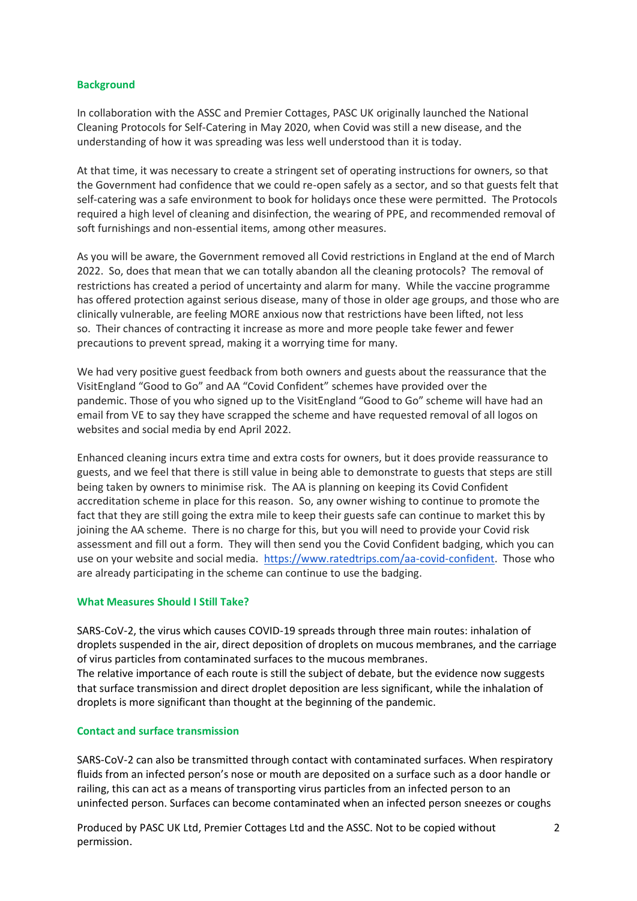#### **Background**

In collaboration with the ASSC and Premier Cottages, PASC UK originally launched the National Cleaning Protocols for Self-Catering in May 2020, when Covid was still a new disease, and the understanding of how it was spreading was less well understood than it is today.

At that time, it was necessary to create a stringent set of operating instructions for owners, so that the Government had confidence that we could re-open safely as a sector, and so that guests felt that self-catering was a safe environment to book for holidays once these were permitted. The Protocols required a high level of cleaning and disinfection, the wearing of PPE, and recommended removal of soft furnishings and non-essential items, among other measures.

As you will be aware, the Government removed all Covid restrictions in England at the end of March 2022. So, does that mean that we can totally abandon all the cleaning protocols? The removal of restrictions has created a period of uncertainty and alarm for many. While the vaccine programme has offered protection against serious disease, many of those in older age groups, and those who are clinically vulnerable, are feeling MORE anxious now that restrictions have been lifted, not less so. Their chances of contracting it increase as more and more people take fewer and fewer precautions to prevent spread, making it a worrying time for many.

We had very positive guest feedback from both owners and guests about the reassurance that the VisitEngland "Good to Go" and AA "Covid Confident" schemes have provided over the pandemic. Those of you who signed up to the VisitEngland "Good to Go" scheme will have had an email from VE to say they have scrapped the scheme and have requested removal of all logos on websites and social media by end April 2022.

Enhanced cleaning incurs extra time and extra costs for owners, but it does provide reassurance to guests, and we feel that there is still value in being able to demonstrate to guests that steps are still being taken by owners to minimise risk. The AA is planning on keeping its Covid Confident accreditation scheme in place for this reason. So, any owner wishing to continue to promote the fact that they are still going the extra mile to keep their guests safe can continue to market this by joining the AA scheme. There is no charge for this, but you will need to provide your Covid risk assessment and fill out a form. They will then send you the Covid Confident badging, which you can use on your website and social media. [https://www.ratedtrips.com/aa-covid-confident.](https://www.ratedtrips.com/aa-covid-confident) Those who are already participating in the scheme can continue to use the badging.

#### **What Measures Should I Still Take?**

SARS-CoV-2, the virus which causes COVID-19 spreads through three main routes: inhalation of droplets suspended in the air, direct deposition of droplets on mucous membranes, and the carriage of virus particles from contaminated surfaces to the mucous membranes. The relative importance of each route is still the subject of debate, but the evidence now suggests

that surface transmission and direct droplet deposition are less significant, while the inhalation of droplets is more significant than thought at the beginning of the pandemic.

#### **Contact and surface transmission**

SARS-CoV-2 can also be transmitted through contact with contaminated surfaces. When respiratory fluids from an infected person's nose or mouth are deposited on a surface such as a door handle or railing, this can act as a means of transporting virus particles from an infected person to an uninfected person. Surfaces can become contaminated when an infected person sneezes or coughs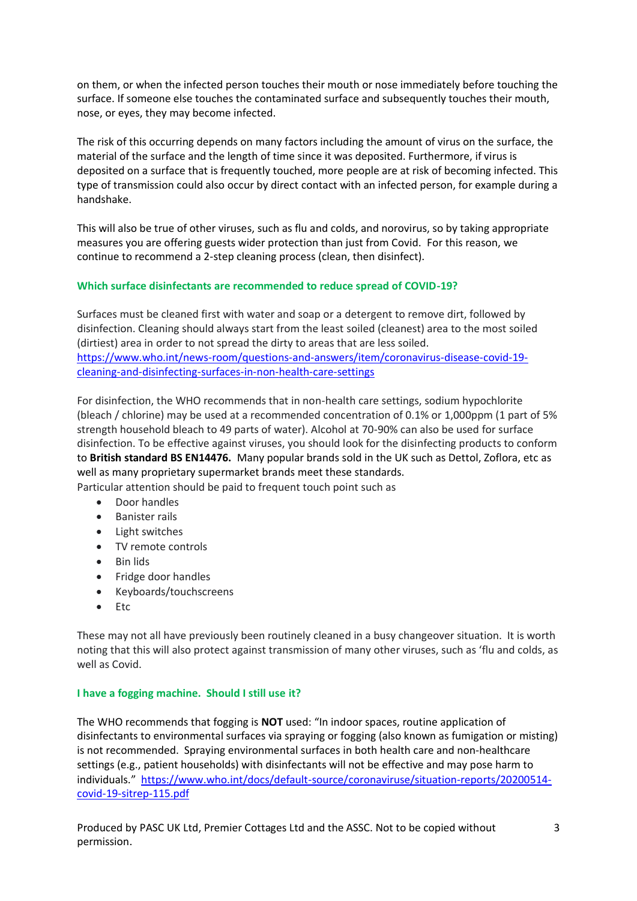on them, or when the infected person touches their mouth or nose immediately before touching the surface. If someone else touches the contaminated surface and subsequently touches their mouth, nose, or eyes, they may become infected.

The risk of this occurring depends on many factors including the amount of virus on the surface, the material of the surface and the length of time since it was deposited. Furthermore, if virus is deposited on a surface that is frequently touched, more people are at risk of becoming infected. This type of transmission could also occur by direct contact with an infected person, for example during a handshake.

This will also be true of other viruses, such as flu and colds, and norovirus, so by taking appropriate measures you are offering guests wider protection than just from Covid. For this reason, we continue to recommend a 2-step cleaning process (clean, then disinfect).

## **Which surface disinfectants are recommended to reduce spread of COVID-19?**

Surfaces must be cleaned first with water and soap or a detergent to remove dirt, followed by disinfection. Cleaning should always start from the least soiled (cleanest) area to the most soiled (dirtiest) area in order to not spread the dirty to areas that are less soiled. [https://www.who.int/news-room/questions-and-answers/item/coronavirus-disease-covid-19](https://www.who.int/news-room/questions-and-answers/item/coronavirus-disease-covid-19-cleaning-and-disinfecting-surfaces-in-non-health-care-settings) [cleaning-and-disinfecting-surfaces-in-non-health-care-settings](https://www.who.int/news-room/questions-and-answers/item/coronavirus-disease-covid-19-cleaning-and-disinfecting-surfaces-in-non-health-care-settings)

For disinfection, the WHO recommends that in non-health care settings, sodium hypochlorite (bleach / chlorine) may be used at a recommended concentration of 0.1% or 1,000ppm (1 part of 5% strength household bleach to 49 parts of water). Alcohol at 70-90% can also be used for surface disinfection. To be effective against viruses, you should look for the disinfecting products to conform to **British standard BS EN14476.** Many popular brands sold in the UK such as Dettol, Zoflora, etc as well as many proprietary supermarket brands meet these standards.

Particular attention should be paid to frequent touch point such as

- Door handles
- Banister rails
- Light switches
- TV remote controls
- Bin lids
- Fridge door handles
- Keyboards/touchscreens
- Etc

These may not all have previously been routinely cleaned in a busy changeover situation. It is worth noting that this will also protect against transmission of many other viruses, such as 'flu and colds, as well as Covid.

#### **I have a fogging machine. Should I still use it?**

The WHO recommends that fogging is **NOT** used: "In indoor spaces, routine application of disinfectants to environmental surfaces via spraying or fogging (also known as fumigation or misting) is not recommended. Spraying environmental surfaces in both health care and non-healthcare settings (e.g., patient households) with disinfectants will not be effective and may pose harm to individuals." [https://www.who.int/docs/default-source/coronaviruse/situation-reports/20200514](https://www.who.int/docs/default-source/coronaviruse/situation-reports/20200514-covid-19-sitrep-115.pdf) [covid-19-sitrep-115.pdf](https://www.who.int/docs/default-source/coronaviruse/situation-reports/20200514-covid-19-sitrep-115.pdf)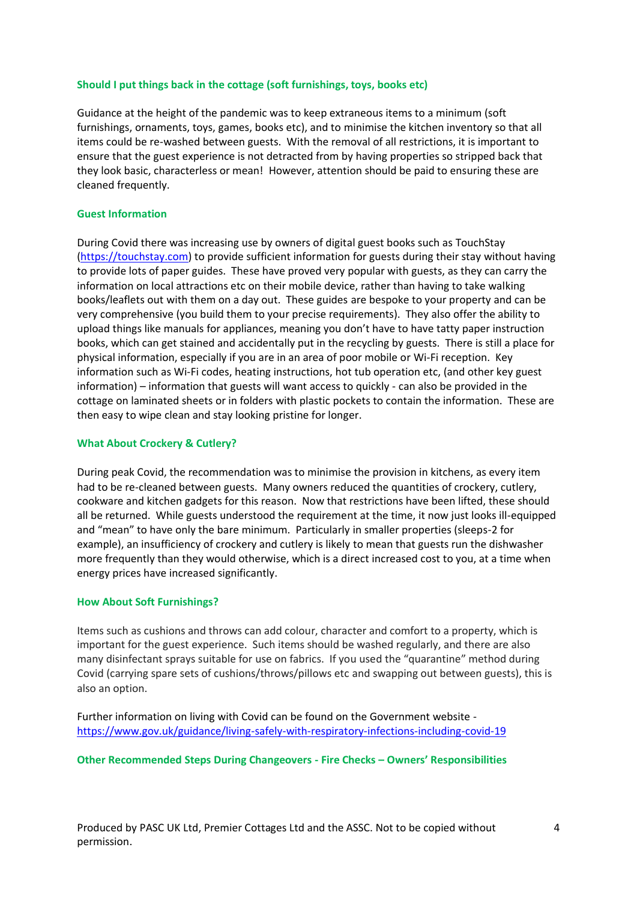#### **Should I put things back in the cottage (soft furnishings, toys, books etc)**

Guidance at the height of the pandemic was to keep extraneous items to a minimum (soft furnishings, ornaments, toys, games, books etc), and to minimise the kitchen inventory so that all items could be re-washed between guests. With the removal of all restrictions, it is important to ensure that the guest experience is not detracted from by having properties so stripped back that they look basic, characterless or mean! However, attention should be paid to ensuring these are cleaned frequently.

#### **Guest Information**

During Covid there was increasing use by owners of digital guest books such as TouchStay [\(https://touchstay.com\)](https://touchstay.com/) to provide sufficient information for guests during their stay without having to provide lots of paper guides. These have proved very popular with guests, as they can carry the information on local attractions etc on their mobile device, rather than having to take walking books/leaflets out with them on a day out. These guides are bespoke to your property and can be very comprehensive (you build them to your precise requirements). They also offer the ability to upload things like manuals for appliances, meaning you don't have to have tatty paper instruction books, which can get stained and accidentally put in the recycling by guests. There is still a place for physical information, especially if you are in an area of poor mobile or Wi-Fi reception. Key information such as Wi-Fi codes, heating instructions, hot tub operation etc, (and other key guest information) – information that guests will want access to quickly - can also be provided in the cottage on laminated sheets or in folders with plastic pockets to contain the information. These are then easy to wipe clean and stay looking pristine for longer.

#### **What About Crockery & Cutlery?**

During peak Covid, the recommendation was to minimise the provision in kitchens, as every item had to be re-cleaned between guests. Many owners reduced the quantities of crockery, cutlery, cookware and kitchen gadgets for this reason. Now that restrictions have been lifted, these should all be returned. While guests understood the requirement at the time, it now just looks ill-equipped and "mean" to have only the bare minimum. Particularly in smaller properties (sleeps-2 for example), an insufficiency of crockery and cutlery is likely to mean that guests run the dishwasher more frequently than they would otherwise, which is a direct increased cost to you, at a time when energy prices have increased significantly.

#### **How About Soft Furnishings?**

Items such as cushions and throws can add colour, character and comfort to a property, which is important for the guest experience. Such items should be washed regularly, and there are also many disinfectant sprays suitable for use on fabrics. If you used the "quarantine" method during Covid (carrying spare sets of cushions/throws/pillows etc and swapping out between guests), this is also an option.

Further information on living with Covid can be found on the Government website <https://www.gov.uk/guidance/living-safely-with-respiratory-infections-including-covid-19>

#### **Other Recommended Steps During Changeovers - Fire Checks – Owners' Responsibilities**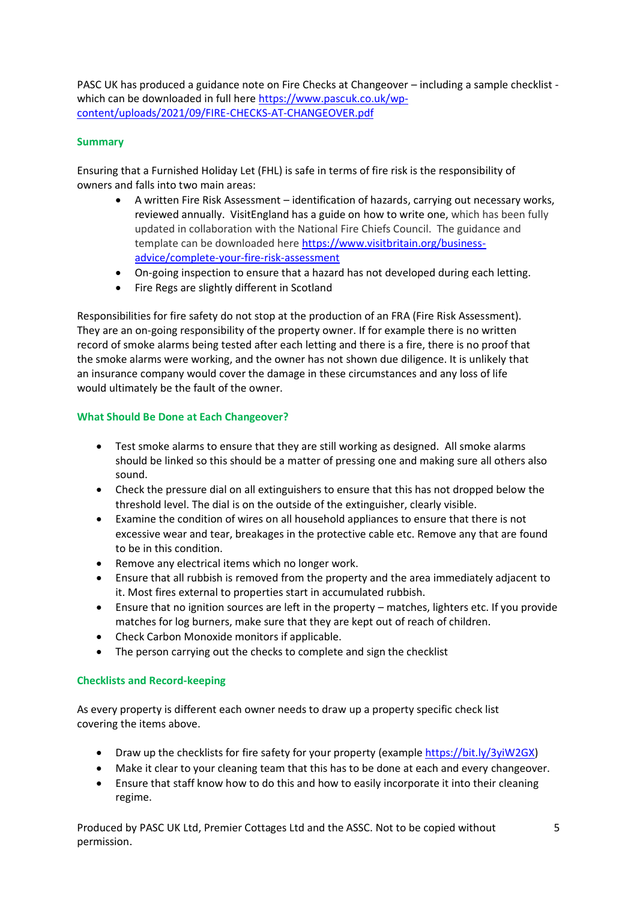PASC UK has produced a guidance note on Fire Checks at Changeover – including a sample checklist which can be downloaded in full here [https://www.pascuk.co.uk/wp](https://www.pascuk.co.uk/wp-content/uploads/2021/09/FIRE-CHECKS-AT-CHANGEOVER.pdf)[content/uploads/2021/09/FIRE-CHECKS-AT-CHANGEOVER.pdf](https://www.pascuk.co.uk/wp-content/uploads/2021/09/FIRE-CHECKS-AT-CHANGEOVER.pdf)

## **Summary**

Ensuring that a Furnished Holiday Let (FHL) is safe in terms of fire risk is the responsibility of owners and falls into two main areas:

- A written Fire Risk Assessment identification of hazards, carrying out necessary works, reviewed annually. VisitEngland has a guide on how to write one, which has been fully updated in collaboration with the National Fire Chiefs Council. The guidance and template can be downloaded here [https://www.visitbritain.org/business](https://www.visitbritain.org/business-advice/complete-your-fire-risk-assessment)[advice/complete-your-fire-risk-assessment](https://www.visitbritain.org/business-advice/complete-your-fire-risk-assessment)
- On-going inspection to ensure that a hazard has not developed during each letting.
- Fire Regs are slightly different in Scotland

Responsibilities for fire safety do not stop at the production of an FRA (Fire Risk Assessment). They are an on-going responsibility of the property owner. If for example there is no written record of smoke alarms being tested after each letting and there is a fire, there is no proof that the smoke alarms were working, and the owner has not shown due diligence. It is unlikely that an insurance company would cover the damage in these circumstances and any loss of life would ultimately be the fault of the owner.

## **What Should Be Done at Each Changeover?**

- Test smoke alarms to ensure that they are still working as designed. All smoke alarms should be linked so this should be a matter of pressing one and making sure all others also sound.
- Check the pressure dial on all extinguishers to ensure that this has not dropped below the threshold level. The dial is on the outside of the extinguisher, clearly visible.
- Examine the condition of wires on all household appliances to ensure that there is not excessive wear and tear, breakages in the protective cable etc. Remove any that are found to be in this condition.
- Remove any electrical items which no longer work.
- Ensure that all rubbish is removed from the property and the area immediately adjacent to it. Most fires external to properties start in accumulated rubbish.
- Ensure that no ignition sources are left in the property matches, lighters etc. If you provide matches for log burners, make sure that they are kept out of reach of children.
- Check Carbon Monoxide monitors if applicable.
- The person carrying out the checks to complete and sign the checklist

## **Checklists and Record-keeping**

As every property is different each owner needs to draw up a property specific check list covering the items above.

- Draw up the checklists for fire safety for your property (exampl[e https://bit.ly/3yiW2GX\)](https://bit.ly/3yiW2GX)
- Make it clear to your cleaning team that this has to be done at each and every changeover.
- Ensure that staff know how to do this and how to easily incorporate it into their cleaning regime.